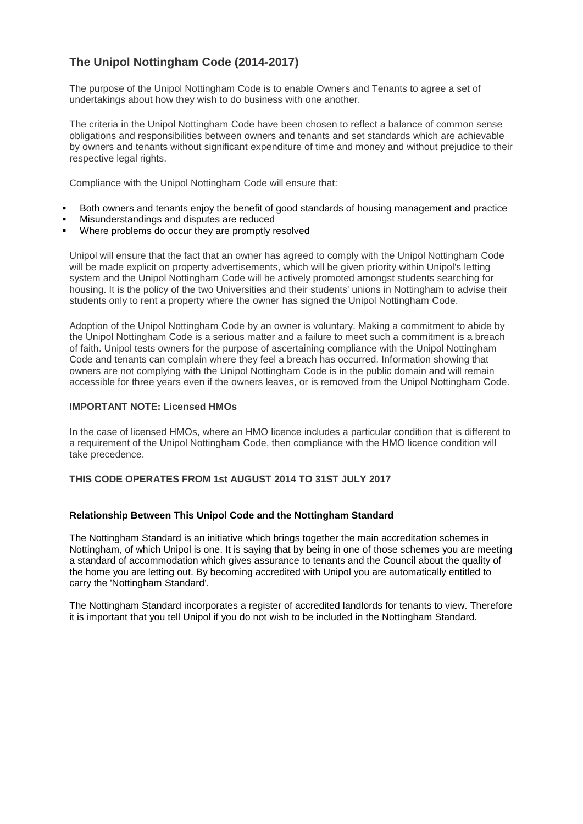# **The Unipol Nottingham Code (2014-2017)**

The purpose of the Unipol Nottingham Code is to enable Owners and Tenants to agree a set of undertakings about how they wish to do business with one another.

The criteria in the Unipol Nottingham Code have been chosen to reflect a balance of common sense obligations and responsibilities between owners and tenants and set standards which are achievable by owners and tenants without significant expenditure of time and money and without prejudice to their respective legal rights.

Compliance with the Unipol Nottingham Code will ensure that:

- Both owners and tenants enjoy the benefit of good standards of housing management and practice
- Misunderstandings and disputes are reduced
- Where problems do occur they are promptly resolved

Unipol will ensure that the fact that an owner has agreed to comply with the Unipol Nottingham Code will be made explicit on property advertisements, which will be given priority within Unipol's letting system and the Unipol Nottingham Code will be actively promoted amongst students searching for housing. It is the policy of the two Universities and their students' unions in Nottingham to advise their students only to rent a property where the owner has signed the Unipol Nottingham Code.

Adoption of the Unipol Nottingham Code by an owner is voluntary. Making a commitment to abide by the Unipol Nottingham Code is a serious matter and a failure to meet such a commitment is a breach of faith. Unipol tests owners for the purpose of ascertaining compliance with the Unipol Nottingham Code and tenants can complain where they feel a breach has occurred. Information showing that owners are not complying with the Unipol Nottingham Code is in the public domain and will remain accessible for three years even if the owners leaves, or is removed from the Unipol Nottingham Code.

#### **IMPORTANT NOTE: Licensed HMOs**

In the case of licensed HMOs, where an HMO licence includes a particular condition that is different to a requirement of the Unipol Nottingham Code, then compliance with the HMO licence condition will take precedence.

#### **THIS CODE OPERATES FROM 1st AUGUST 2014 TO 31ST JULY 2017**

#### **Relationship Between This Unipol Code and the Nottingham Standard**

The Nottingham Standard is an initiative which brings together the main accreditation schemes in Nottingham, of which Unipol is one. It is saying that by being in one of those schemes you are meeting a standard of accommodation which gives assurance to tenants and the Council about the quality of the home you are letting out. By becoming accredited with Unipol you are automatically entitled to carry the 'Nottingham Standard'.

The Nottingham Standard incorporates a register of accredited landlords for tenants to view. Therefore it is important that you tell Unipol if you do not wish to be included in the Nottingham Standard.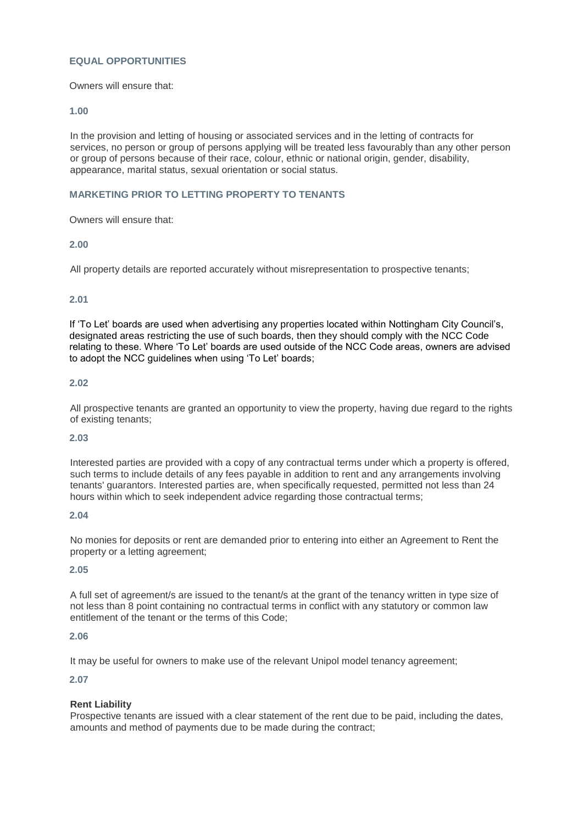#### **EQUAL OPPORTUNITIES**

Owners will ensure that:

#### **1.00**

In the provision and letting of housing or associated services and in the letting of contracts for services, no person or group of persons applying will be treated less favourably than any other person or group of persons because of their race, colour, ethnic or national origin, gender, disability, appearance, marital status, sexual orientation or social status.

### **MARKETING PRIOR TO LETTING PROPERTY TO TENANTS**

Owners will ensure that:

#### **2.00**

All property details are reported accurately without misrepresentation to prospective tenants;

### **2.01**

If 'To Let' boards are used when advertising any properties located within Nottingham City Council's, designated areas restricting the use of such boards, then they should comply with the NCC Code relating to these. Where 'To Let' boards are used outside of the NCC Code areas, owners are advised to adopt the NCC guidelines when using 'To Let' boards;

### **2.02**

All prospective tenants are granted an opportunity to view the property, having due regard to the rights of existing tenants;

#### **2.03**

Interested parties are provided with a copy of any contractual terms under which a property is offered, such terms to include details of any fees payable in addition to rent and any arrangements involving tenants' guarantors. Interested parties are, when specifically requested, permitted not less than 24 hours within which to seek independent advice regarding those contractual terms;

#### **2.04**

No monies for deposits or rent are demanded prior to entering into either an Agreement to Rent the property or a letting agreement;

#### **2.05**

A full set of agreement/s are issued to the tenant/s at the grant of the tenancy written in type size of not less than 8 point containing no contractual terms in conflict with any statutory or common law entitlement of the tenant or the terms of this Code;

### **2.06**

It may be useful for owners to make use of the relevant Unipol model tenancy agreement;

# **2.07**

# **Rent Liability**

Prospective tenants are issued with a clear statement of the rent due to be paid, including the dates, amounts and method of payments due to be made during the contract;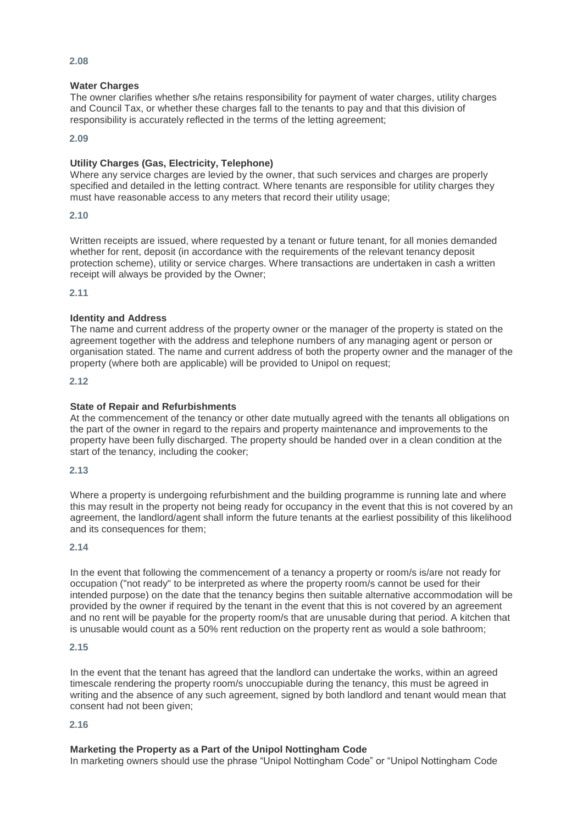# **Water Charges**

The owner clarifies whether s/he retains responsibility for payment of water charges, utility charges and Council Tax, or whether these charges fall to the tenants to pay and that this division of responsibility is accurately reflected in the terms of the letting agreement;

**2.09**

# **Utility Charges (Gas, Electricity, Telephone)**

Where any service charges are levied by the owner, that such services and charges are properly specified and detailed in the letting contract. Where tenants are responsible for utility charges they must have reasonable access to any meters that record their utility usage;

**2.10**

Written receipts are issued, where requested by a tenant or future tenant, for all monies demanded whether for rent, deposit (in accordance with the requirements of the relevant tenancy deposit protection scheme), utility or service charges. Where transactions are undertaken in cash a written receipt will always be provided by the Owner;

**2.11**

# **Identity and Address**

The name and current address of the property owner or the manager of the property is stated on the agreement together with the address and telephone numbers of any managing agent or person or organisation stated. The name and current address of both the property owner and the manager of the property (where both are applicable) will be provided to Unipol on request;

**2.12**

# **State of Repair and Refurbishments**

At the commencement of the tenancy or other date mutually agreed with the tenants all obligations on the part of the owner in regard to the repairs and property maintenance and improvements to the property have been fully discharged. The property should be handed over in a clean condition at the start of the tenancy, including the cooker;

# **2.13**

Where a property is undergoing refurbishment and the building programme is running late and where this may result in the property not being ready for occupancy in the event that this is not covered by an agreement, the landlord/agent shall inform the future tenants at the earliest possibility of this likelihood and its consequences for them;

# **2.14**

In the event that following the commencement of a tenancy a property or room/s is/are not ready for occupation ("not ready" to be interpreted as where the property room/s cannot be used for their intended purpose) on the date that the tenancy begins then suitable alternative accommodation will be provided by the owner if required by the tenant in the event that this is not covered by an agreement and no rent will be payable for the property room/s that are unusable during that period. A kitchen that is unusable would count as a 50% rent reduction on the property rent as would a sole bathroom;

# **2.15**

In the event that the tenant has agreed that the landlord can undertake the works, within an agreed timescale rendering the property room/s unoccupiable during the tenancy, this must be agreed in writing and the absence of any such agreement, signed by both landlord and tenant would mean that consent had not been given;

# **2.16**

# **Marketing the Property as a Part of the Unipol Nottingham Code**

In marketing owners should use the phrase "Unipol Nottingham Code" or "Unipol Nottingham Code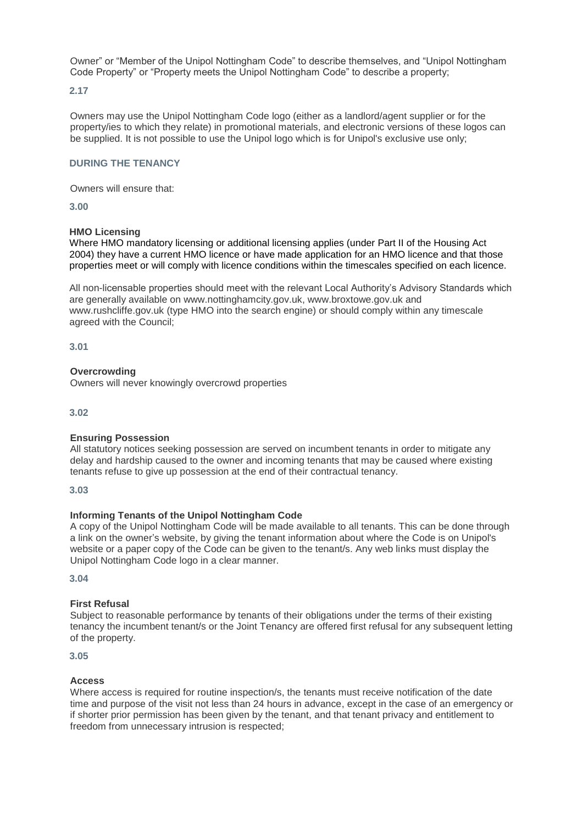Owner" or "Member of the Unipol Nottingham Code" to describe themselves, and "Unipol Nottingham Code Property" or "Property meets the Unipol Nottingham Code" to describe a property;

**2.17**

Owners may use the Unipol Nottingham Code logo (either as a landlord/agent supplier or for the property/ies to which they relate) in promotional materials, and electronic versions of these logos can be supplied. It is not possible to use the Unipol logo which is for Unipol's exclusive use only;

# **DURING THE TENANCY**

Owners will ensure that:

**3.00** 

### **HMO Licensing**

Where HMO mandatory licensing or additional licensing applies (under Part II of the Housing Act 2004) they have a current HMO licence or have made application for an HMO licence and that those properties meet or will comply with licence conditions within the timescales specified on each licence.

All non-licensable properties should meet with the relevant Local Authority's Advisory Standards which are generally available on www.nottinghamcity.gov.uk, www.broxtowe.gov.uk and www.rushcliffe.gov.uk (type HMO into the search engine) or should comply within any timescale agreed with the Council;

**3.01** 

# **Overcrowding**

Owners will never knowingly overcrowd properties

**3.02** 

# **Ensuring Possession**

All statutory notices seeking possession are served on incumbent tenants in order to mitigate any delay and hardship caused to the owner and incoming tenants that may be caused where existing tenants refuse to give up possession at the end of their contractual tenancy.

### **3.03**

# **Informing Tenants of the Unipol Nottingham Code**

A copy of the Unipol Nottingham Code will be made available to all tenants. This can be done through a link on the owner's website, by giving the tenant information about where the Code is on Unipol's website or a paper copy of the Code can be given to the tenant/s. Any web links must display the Unipol Nottingham Code logo in a clear manner.

**3.04** 

# **First Refusal**

Subject to reasonable performance by tenants of their obligations under the terms of their existing tenancy the incumbent tenant/s or the Joint Tenancy are offered first refusal for any subsequent letting of the property.

**3.05** 

# **Access**

Where access is required for routine inspection/s, the tenants must receive notification of the date time and purpose of the visit not less than 24 hours in advance, except in the case of an emergency or if shorter prior permission has been given by the tenant, and that tenant privacy and entitlement to freedom from unnecessary intrusion is respected;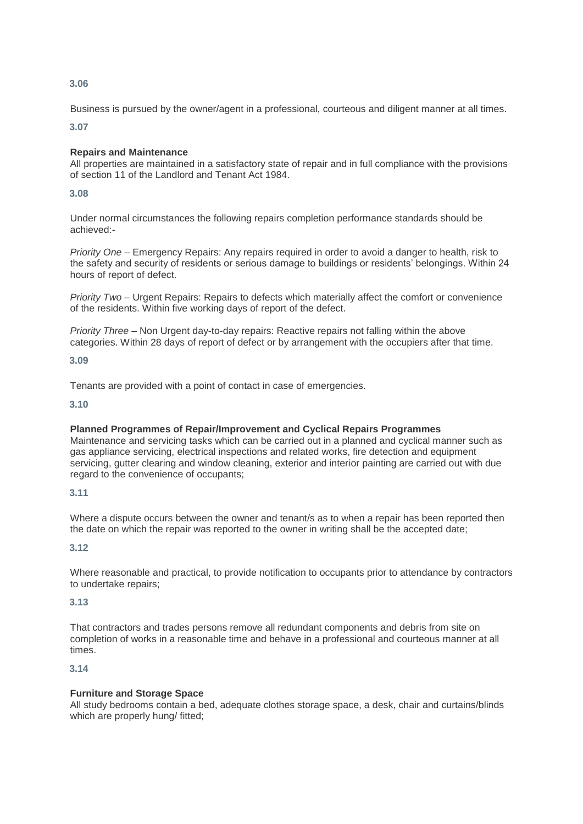Business is pursued by the owner/agent in a professional, courteous and diligent manner at all times.

# **3.07**

# **Repairs and Maintenance**

All properties are maintained in a satisfactory state of repair and in full compliance with the provisions of section 11 of the Landlord and Tenant Act 1984.

### **3.08**

Under normal circumstances the following repairs completion performance standards should be achieved:-

*Priority One –* Emergency Repairs: Any repairs required in order to avoid a danger to health, risk to the safety and security of residents or serious damage to buildings or residents' belongings. Within 24 hours of report of defect.

*Priority Two –* Urgent Repairs: Repairs to defects which materially affect the comfort or convenience of the residents. Within five working days of report of the defect.

*Priority Three –* Non Urgent day-to-day repairs: Reactive repairs not falling within the above categories. Within 28 days of report of defect or by arrangement with the occupiers after that time.

### **3.09**

Tenants are provided with a point of contact in case of emergencies.

### **3.10**

# **Planned Programmes of Repair/Improvement and Cyclical Repairs Programmes**

Maintenance and servicing tasks which can be carried out in a planned and cyclical manner such as gas appliance servicing, electrical inspections and related works, fire detection and equipment servicing, gutter clearing and window cleaning, exterior and interior painting are carried out with due regard to the convenience of occupants;

# **3.11**

Where a dispute occurs between the owner and tenant/s as to when a repair has been reported then the date on which the repair was reported to the owner in writing shall be the accepted date;

# **3.12**

Where reasonable and practical, to provide notification to occupants prior to attendance by contractors to undertake repairs;

# **3.13**

That contractors and trades persons remove all redundant components and debris from site on completion of works in a reasonable time and behave in a professional and courteous manner at all times.

# **3.14**

# **Furniture and Storage Space**

All study bedrooms contain a bed, adequate clothes storage space, a desk, chair and curtains/blinds which are properly hung/ fitted;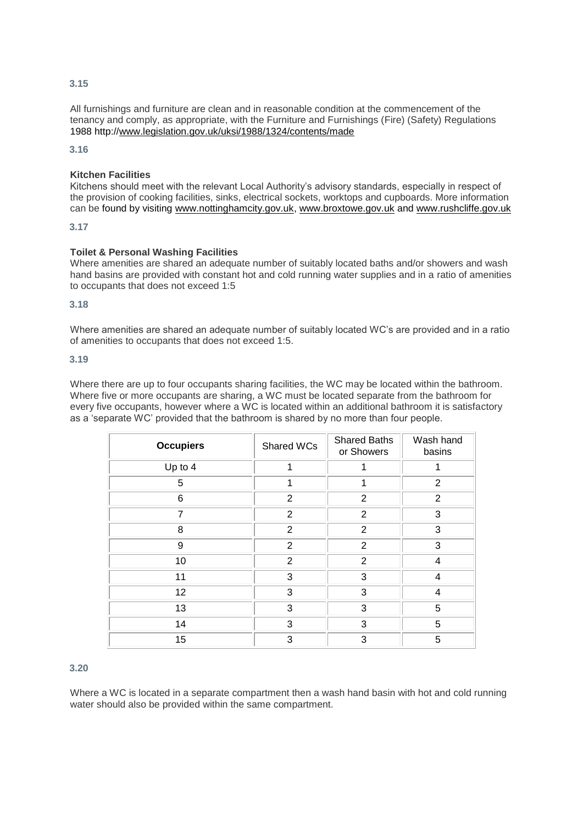All furnishings and furniture are clean and in reasonable condition at the commencement of the tenancy and comply, as appropriate, with the Furniture and Furnishings (Fire) (Safety) Regulations 1988 http://www.legislation.gov.uk/uksi/1988/1324/contents/made

**3.16** 

### **Kitchen Facilities**

Kitchens should meet with the relevant Local Authority's advisory standards, especially in respect of the provision of cooking facilities, sinks, electrical sockets, worktops and cupboards. More information can be found by visiting [www.nottinghamcity.gov.uk,](http://www.nottinghamcity.gov.uk/) [www.broxtowe.gov.uk](http://www.broxtowe.gov.uk/) and [www.rushcliffe.gov.uk](http://www.rushcliffe.gov.uk/)

#### **3.17**

### **Toilet & Personal Washing Facilities**

Where amenities are shared an adequate number of suitably located baths and/or showers and wash hand basins are provided with constant hot and cold running water supplies and in a ratio of amenities to occupants that does not exceed 1:5

### **3.18**

Where amenities are shared an adequate number of suitably located WC's are provided and in a ratio of amenities to occupants that does not exceed 1:5.

#### **3.19**

Where there are up to four occupants sharing facilities, the WC may be located within the bathroom. Where five or more occupants are sharing, a WC must be located separate from the bathroom for every five occupants, however where a WC is located within an additional bathroom it is satisfactory as a 'separate WC' provided that the bathroom is shared by no more than four people.

| <b>Occupiers</b> | Shared WCs     | <b>Shared Baths</b><br>or Showers | Wash hand<br>basins |
|------------------|----------------|-----------------------------------|---------------------|
| Up to 4          | 1              | 1                                 |                     |
| 5                |                | 1                                 | $\overline{2}$      |
| 6                | $\overline{2}$ | $\overline{2}$                    | 2                   |
| $\overline{7}$   | $\overline{2}$ | $\overline{2}$                    | 3                   |
| 8                | $\overline{2}$ | $\overline{2}$                    | 3                   |
| 9                | 2              | $\overline{2}$                    | 3                   |
| 10               | $\overline{2}$ | 2                                 | 4                   |
| 11               | 3              | 3                                 | $\overline{4}$      |
| 12               | 3              | 3                                 | 4                   |
| 13               | 3              | 3                                 | 5                   |
| 14               | 3              | 3                                 | 5                   |
| 15               | 3              | 3                                 | 5                   |

#### **3.20**

Where a WC is located in a separate compartment then a wash hand basin with hot and cold running water should also be provided within the same compartment.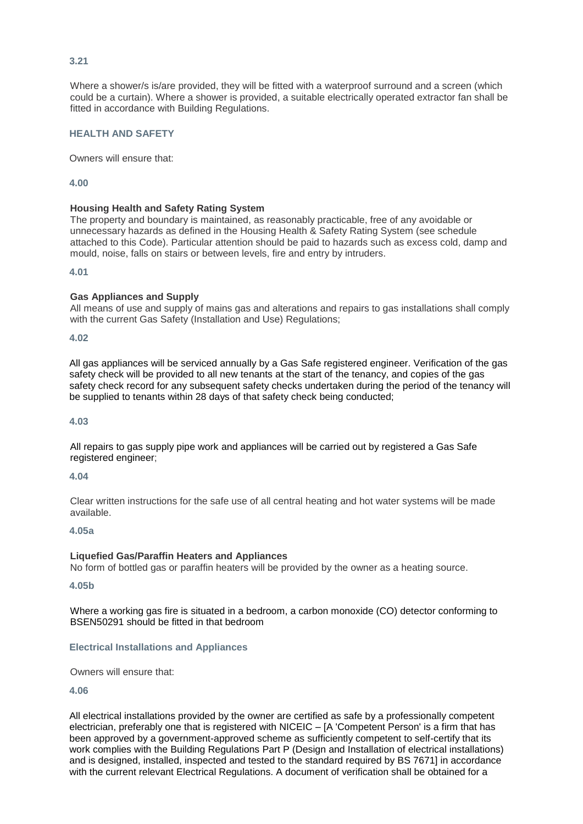Where a shower/s is/are provided, they will be fitted with a waterproof surround and a screen (which could be a curtain). Where a shower is provided, a suitable electrically operated extractor fan shall be fitted in accordance with Building Regulations.

#### **HEALTH AND SAFETY**

Owners will ensure that:

**4.00** 

### **Housing Health and Safety Rating System**

The property and boundary is maintained, as reasonably practicable, free of any avoidable or unnecessary hazards as defined in the Housing Health & Safety Rating System (see schedule attached to this Code). Particular attention should be paid to hazards such as excess cold, damp and mould, noise, falls on stairs or between levels, fire and entry by intruders.

**4.01** 

# **Gas Appliances and Supply**

All means of use and supply of mains gas and alterations and repairs to gas installations shall comply with the current Gas Safety (Installation and Use) Regulations;

**4.02**

All gas appliances will be serviced annually by a Gas Safe registered engineer. Verification of the gas safety check will be provided to all new tenants at the start of the tenancy, and copies of the gas safety check record for any subsequent safety checks undertaken during the period of the tenancy will be supplied to tenants within 28 days of that safety check being conducted;

**4.03**

All repairs to gas supply pipe work and appliances will be carried out by registered a Gas Safe registered engineer;

### **4.04**

Clear written instructions for the safe use of all central heating and hot water systems will be made available.

# **4.05a**

# **Liquefied Gas/Paraffin Heaters and Appliances**

No form of bottled gas or paraffin heaters will be provided by the owner as a heating source.

**4.05b**

Where a working gas fire is situated in a bedroom, a carbon monoxide (CO) detector conforming to BSEN50291 should be fitted in that bedroom

# **Electrical Installations and Appliances**

Owners will ensure that:

# **4.06**

All electrical installations provided by the owner are certified as safe by a professionally competent electrician, preferably one that is registered with NICEIC – [A 'Competent Person' is a firm that has been approved by a government-approved scheme as sufficiently competent to self-certify that its work complies with the Building Regulations Part P (Design and Installation of electrical installations) and is designed, installed, inspected and tested to the standard required by BS 7671] in accordance with the current relevant Electrical Regulations. A document of verification shall be obtained for a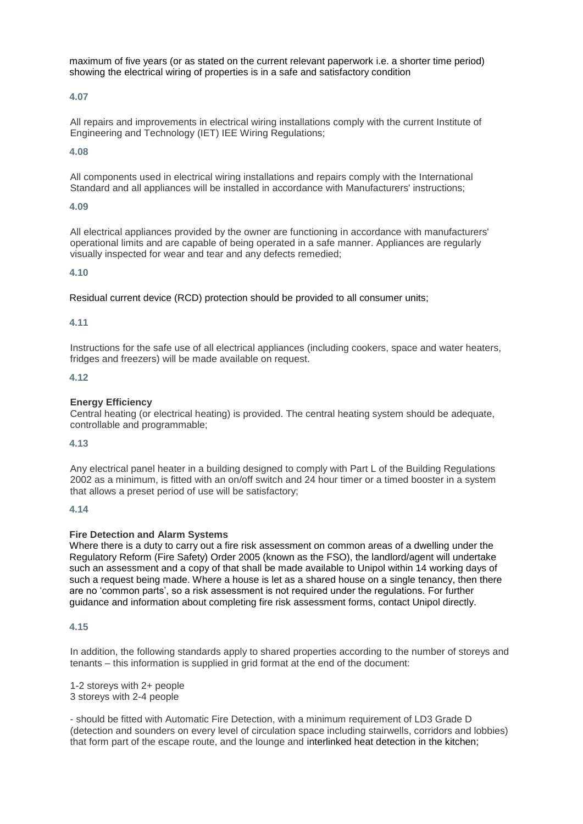maximum of five years (or as stated on the current relevant paperwork i.e. a shorter time period) showing the electrical wiring of properties is in a safe and satisfactory condition

**4.07** 

All repairs and improvements in electrical wiring installations comply with the current Institute of Engineering and Technology (IET) IEE Wiring Regulations;

**4.08** 

All components used in electrical wiring installations and repairs comply with the International Standard and all appliances will be installed in accordance with Manufacturers' instructions;

# **4.09**

All electrical appliances provided by the owner are functioning in accordance with manufacturers' operational limits and are capable of being operated in a safe manner. Appliances are regularly visually inspected for wear and tear and any defects remedied;

# **4.10**

Residual current device (RCD) protection should be provided to all consumer units;

# **4.11**

Instructions for the safe use of all electrical appliances (including cookers, space and water heaters, fridges and freezers) will be made available on request.

**4.12** 

# **Energy Efficiency**

Central heating (or electrical heating) is provided. The central heating system should be adequate, controllable and programmable;

# **4.13**

Any electrical panel heater in a building designed to comply with Part L of the Building Regulations 2002 as a minimum, is fitted with an on/off switch and 24 hour timer or a timed booster in a system that allows a preset period of use will be satisfactory;

# **4.14**

# **Fire Detection and Alarm Systems**

Where there is a duty to carry out a fire risk assessment on common areas of a dwelling under the Regulatory Reform (Fire Safety) Order 2005 (known as the FSO), the landlord/agent will undertake such an assessment and a copy of that shall be made available to Unipol within 14 working days of such a request being made. Where a house is let as a shared house on a single tenancy, then there are no 'common parts', so a risk assessment is not required under the regulations. For further guidance and information about completing fire risk assessment forms, contact Unipol directly.

# **4.15**

In addition, the following standards apply to shared properties according to the number of storeys and tenants – this information is supplied in grid format at the end of the document:

1-2 storeys with 2+ people 3 storeys with 2-4 people

- should be fitted with Automatic Fire Detection, with a minimum requirement of LD3 Grade D (detection and sounders on every level of circulation space including stairwells, corridors and lobbies) that form part of the escape route, and the lounge and interlinked heat detection in the kitchen;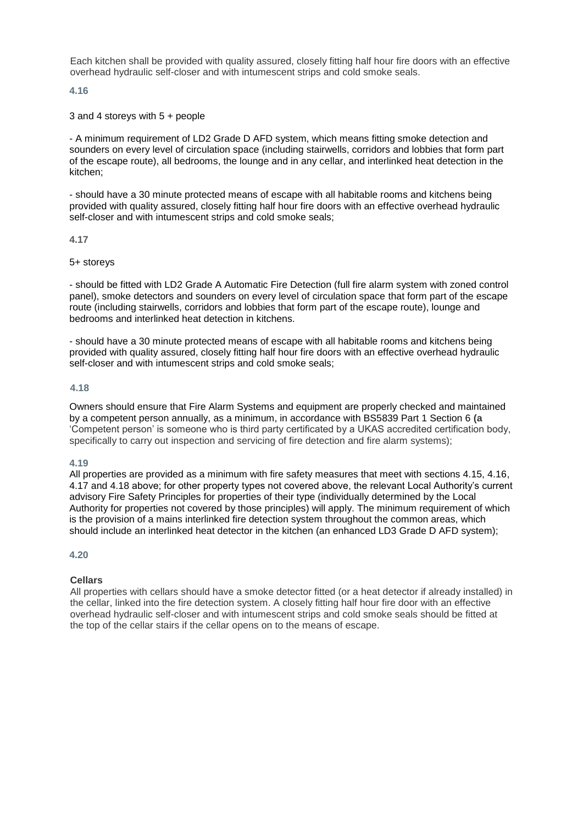Each kitchen shall be provided with quality assured, closely fitting half hour fire doors with an effective overhead hydraulic self-closer and with intumescent strips and cold smoke seals.

### **4.16**

3 and 4 storeys with 5 + people

- A minimum requirement of LD2 Grade D AFD system, which means fitting smoke detection and sounders on every level of circulation space (including stairwells, corridors and lobbies that form part of the escape route), all bedrooms, the lounge and in any cellar, and interlinked heat detection in the kitchen;

- should have a 30 minute protected means of escape with all habitable rooms and kitchens being provided with quality assured, closely fitting half hour fire doors with an effective overhead hydraulic self-closer and with intumescent strips and cold smoke seals;

#### **4.17**

#### 5+ storeys

- should be fitted with LD2 Grade A Automatic Fire Detection (full fire alarm system with zoned control panel), smoke detectors and sounders on every level of circulation space that form part of the escape route (including stairwells, corridors and lobbies that form part of the escape route), lounge and bedrooms and interlinked heat detection in kitchens.

- should have a 30 minute protected means of escape with all habitable rooms and kitchens being provided with quality assured, closely fitting half hour fire doors with an effective overhead hydraulic self-closer and with intumescent strips and cold smoke seals;

### **4.18**

Owners should ensure that Fire Alarm Systems and equipment are properly checked and maintained by a competent person annually, as a minimum, in accordance with BS5839 Part 1 Section 6 **(a**  'Competent person' is someone who is third party certificated by a UKAS accredited certification body, specifically to carry out inspection and servicing of fire detection and fire alarm systems);

#### **4.19**

All properties are provided as a minimum with fire safety measures that meet with sections 4.15, 4.16, 4.17 and 4.18 above; for other property types not covered above, the relevant Local Authority's current advisory Fire Safety Principles for properties of their type (individually determined by the Local Authority for properties not covered by those principles) will apply. The minimum requirement of which is the provision of a mains interlinked fire detection system throughout the common areas, which should include an interlinked heat detector in the kitchen (an enhanced LD3 Grade D AFD system);

#### **4.20**

# **Cellars**

All properties with cellars should have a smoke detector fitted (or a heat detector if already installed) in the cellar, linked into the fire detection system. A closely fitting half hour fire door with an effective overhead hydraulic self-closer and with intumescent strips and cold smoke seals should be fitted at the top of the cellar stairs if the cellar opens on to the means of escape.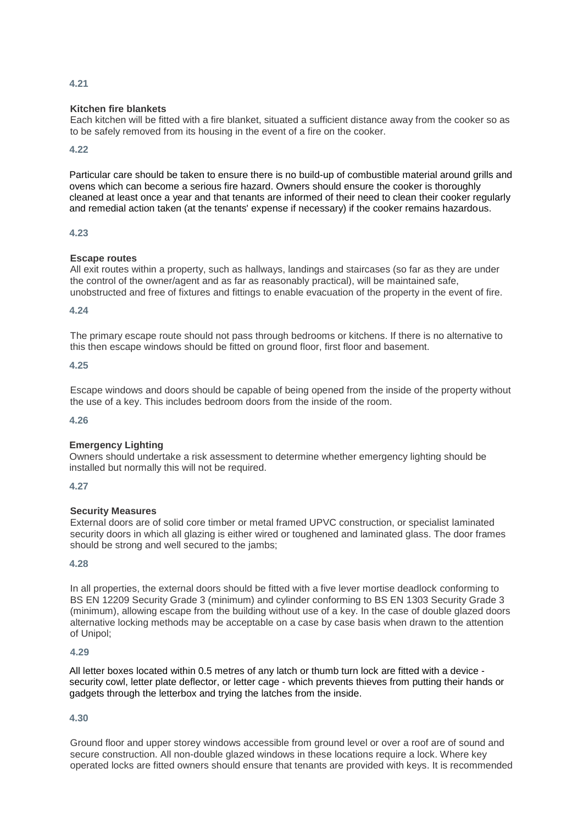# **Kitchen fire blankets**

Each kitchen will be fitted with a fire blanket, situated a sufficient distance away from the cooker so as to be safely removed from its housing in the event of a fire on the cooker.

**4.22**

Particular care should be taken to ensure there is no build-up of combustible material around grills and ovens which can become a serious fire hazard. Owners should ensure the cooker is thoroughly cleaned at least once a year and that tenants are informed of their need to clean their cooker regularly and remedial action taken (at the tenants' expense if necessary) if the cooker remains hazardous.

### **4.23**

# **Escape routes**

All exit routes within a property, such as hallways, landings and staircases (so far as they are under the control of the owner/agent and as far as reasonably practical), will be maintained safe, unobstructed and free of fixtures and fittings to enable evacuation of the property in the event of fire.

#### **4.24**

The primary escape route should not pass through bedrooms or kitchens. If there is no alternative to this then escape windows should be fitted on ground floor, first floor and basement.

### **4.25**

Escape windows and doors should be capable of being opened from the inside of the property without the use of a key. This includes bedroom doors from the inside of the room.

**4.26**

# **Emergency Lighting**

Owners should undertake a risk assessment to determine whether emergency lighting should be installed but normally this will not be required.

#### **4.27**

# **Security Measures**

External doors are of solid core timber or metal framed UPVC construction, or specialist laminated security doors in which all glazing is either wired or toughened and laminated glass. The door frames should be strong and well secured to the jambs;

### **4.28**

In all properties, the external doors should be fitted with a five lever mortise deadlock conforming to BS EN 12209 Security Grade 3 (minimum) and cylinder conforming to BS EN 1303 Security Grade 3 (minimum), allowing escape from the building without use of a key. In the case of double glazed doors alternative locking methods may be acceptable on a case by case basis when drawn to the attention of Unipol;

#### **4.29**

All letter boxes located within 0.5 metres of any latch or thumb turn lock are fitted with a device security cowl, letter plate deflector, or letter cage - which prevents thieves from putting their hands or gadgets through the letterbox and trying the latches from the inside.

# **4.30**

Ground floor and upper storey windows accessible from ground level or over a roof are of sound and secure construction. All non-double glazed windows in these locations require a lock. Where key operated locks are fitted owners should ensure that tenants are provided with keys. It is recommended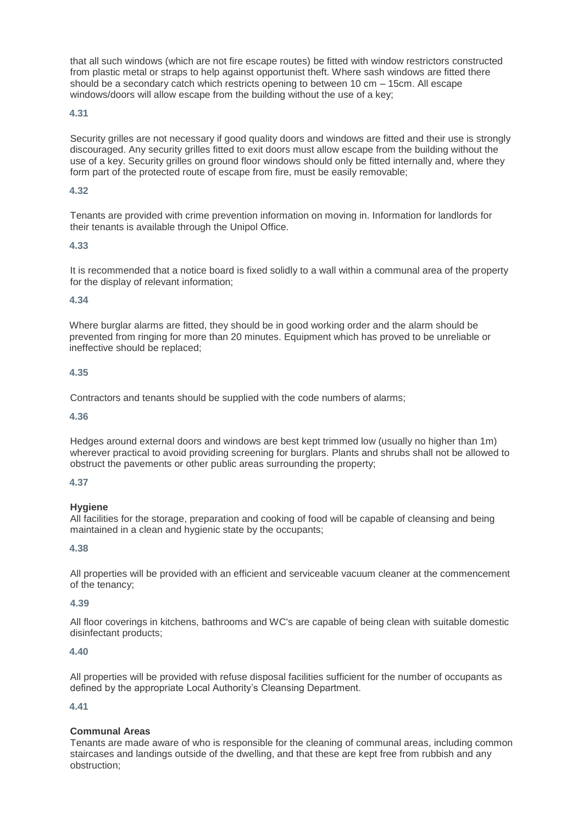that all such windows (which are not fire escape routes) be fitted with window restrictors constructed from plastic metal or straps to help against opportunist theft. Where sash windows are fitted there should be a secondary catch which restricts opening to between 10 cm – 15cm. All escape windows/doors will allow escape from the building without the use of a key;

### **4.31**

Security grilles are not necessary if good quality doors and windows are fitted and their use is strongly discouraged. Any security grilles fitted to exit doors must allow escape from the building without the use of a key. Security grilles on ground floor windows should only be fitted internally and, where they form part of the protected route of escape from fire, must be easily removable;

### **4.32**

Tenants are provided with crime prevention information on moving in. Information for landlords for their tenants is available through the Unipol Office.

### **4.33**

It is recommended that a notice board is fixed solidly to a wall within a communal area of the property for the display of relevant information;

# **4.34**

Where burglar alarms are fitted, they should be in good working order and the alarm should be prevented from ringing for more than 20 minutes. Equipment which has proved to be unreliable or ineffective should be replaced;

# **4.35**

Contractors and tenants should be supplied with the code numbers of alarms;

### **4.36**

Hedges around external doors and windows are best kept trimmed low (usually no higher than 1m) wherever practical to avoid providing screening for burglars. Plants and shrubs shall not be allowed to obstruct the pavements or other public areas surrounding the property;

# **4.37**

# **Hygiene**

All facilities for the storage, preparation and cooking of food will be capable of cleansing and being maintained in a clean and hygienic state by the occupants;

# **4.38**

All properties will be provided with an efficient and serviceable vacuum cleaner at the commencement of the tenancy;

# **4.39**

All floor coverings in kitchens, bathrooms and WC's are capable of being clean with suitable domestic disinfectant products;

# **4.40**

All properties will be provided with refuse disposal facilities sufficient for the number of occupants as defined by the appropriate Local Authority's Cleansing Department.

# **4.41**

# **Communal Areas**

Tenants are made aware of who is responsible for the cleaning of communal areas, including common staircases and landings outside of the dwelling, and that these are kept free from rubbish and any obstruction;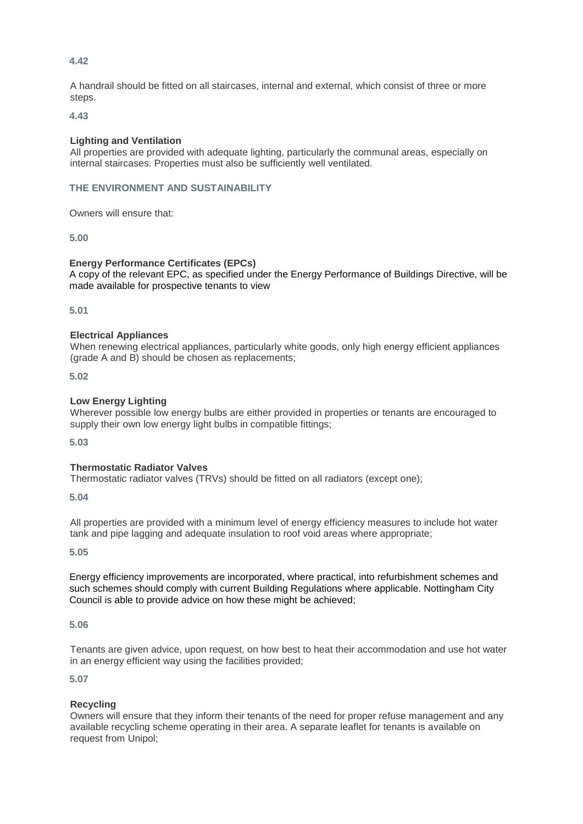A handrail should be fitted on all staircases, internal and external, which consist of three or more steps.

**4.43**

#### **Lighting and Ventilation**

All properties are provided with adequate lighting, particularly the communal areas, especially on internal staircases. Properties must also be sufficiently well ventilated.

# **THE ENVIRONMENT AND SUSTAINABILITY**

Owners will ensure that:

**5.00** 

#### **Energy Performance Certificates (EPCs)**

A copy of the relevant EPC, as specified under the Energy Performance of Buildings Directive, will be made available for prospective tenants to view

**5.01** 

#### **Electrical Appliances**

When renewing electrical appliances, particularly white goods, only high energy efficient appliances (grade A and B) should be chosen as replacements;

**5.02** 

### **Low Energy Lighting**

Wherever possible low energy bulbs are either provided in properties or tenants are encouraged to supply their own low energy light bulbs in compatible fittings;

**5.03** 

### **Thermostatic Radiator Valves**

Thermostatic radiator valves (TRVs) should be fitted on all radiators (except one);

**5.04** 

All properties are provided with a minimum level of energy efficiency measures to include hot water tank and pipe lagging and adequate insulation to roof void areas where appropriate;

**5.05** 

Energy efficiency improvements are incorporated, where practical, into refurbishment schemes and such schemes should comply with current Building Regulations where applicable. Nottingham City Council is able to provide advice on how these might be achieved;

#### **5.06**

Tenants are given advice, upon request, on how best to heat their accommodation and use hot water in an energy efficient way using the facilities provided;

**5.07** 

#### **Recycling**

Owners will ensure that they inform their tenants of the need for proper refuse management and any available recycling scheme operating in their area. A separate leaflet for tenants is available on request from Unipol;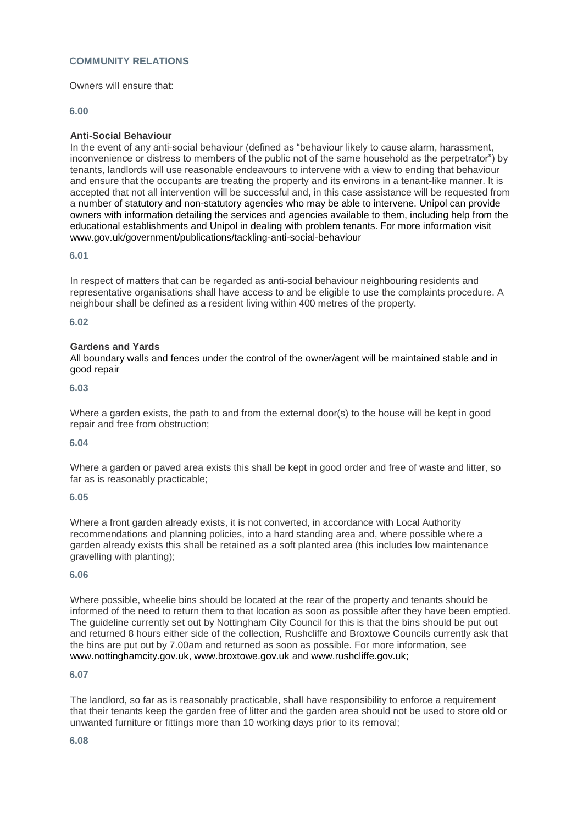### **COMMUNITY RELATIONS**

Owners will ensure that:

#### **6.00**

### **Anti-Social Behaviour**

In the event of any anti-social behaviour (defined as "behaviour likely to cause alarm, harassment, inconvenience or distress to members of the public not of the same household as the perpetrator") by tenants, landlords will use reasonable endeavours to intervene with a view to ending that behaviour and ensure that the occupants are treating the property and its environs in a tenant-like manner. It is accepted that not all intervention will be successful and, in this case assistance will be requested from a number of statutory and non-statutory agencies who may be able to intervene. Unipol can provide owners with information detailing the services and agencies available to them, including help from the educational establishments and Unipol in dealing with problem tenants. For more information visit www.gov.uk/government/publications/tackling-anti-social-behaviour

#### **6.01**

In respect of matters that can be regarded as anti-social behaviour neighbouring residents and representative organisations shall have access to and be eligible to use the complaints procedure. A neighbour shall be defined as a resident living within 400 metres of the property.

#### **6.02**

#### **Gardens and Yards**

All boundary walls and fences under the control of the owner/agent will be maintained stable and in good repair

#### **6.03**

Where a garden exists, the path to and from the external door(s) to the house will be kept in good repair and free from obstruction;

#### **6.04**

Where a garden or paved area exists this shall be kept in good order and free of waste and litter, so far as is reasonably practicable;

### **6.05**

Where a front garden already exists, it is not converted, in accordance with Local Authority recommendations and planning policies, into a hard standing area and, where possible where a garden already exists this shall be retained as a soft planted area (this includes low maintenance gravelling with planting);

#### **6.06**

Where possible, wheelie bins should be located at the rear of the property and tenants should be informed of the need to return them to that location as soon as possible after they have been emptied. The guideline currently set out by Nottingham City Council for this is that the bins should be put out and returned 8 hours either side of the collection, Rushcliffe and Broxtowe Councils currently ask that the bins are put out by 7.00am and returned as soon as possible. For more information, see [www.nottinghamcity.gov.uk,](http://www.nottinghamcity.gov.uk/) [www.broxtowe.gov.uk](http://www.broxtowe.gov.uk/) and [www.rushcliffe.gov.uk;](http://www.rushcliffe.gov.uk/)

### **6.07**

The landlord, so far as is reasonably practicable, shall have responsibility to enforce a requirement that their tenants keep the garden free of litter and the garden area should not be used to store old or unwanted furniture or fittings more than 10 working days prior to its removal;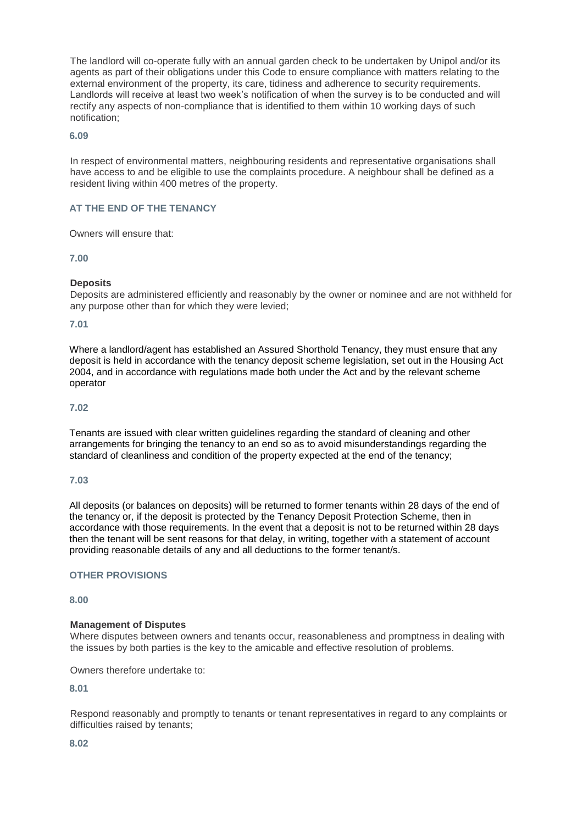The landlord will co-operate fully with an annual garden check to be undertaken by Unipol and/or its agents as part of their obligations under this Code to ensure compliance with matters relating to the external environment of the property, its care, tidiness and adherence to security requirements. Landlords will receive at least two week's notification of when the survey is to be conducted and will rectify any aspects of non-compliance that is identified to them within 10 working days of such notification;

### **6.09**

In respect of environmental matters, neighbouring residents and representative organisations shall have access to and be eligible to use the complaints procedure. A neighbour shall be defined as a resident living within 400 metres of the property.

# **AT THE END OF THE TENANCY**

Owners will ensure that:

### **7.00**

### **Deposits**

Deposits are administered efficiently and reasonably by the owner or nominee and are not withheld for any purpose other than for which they were levied;

#### **7.01**

Where a landlord/agent has established an Assured Shorthold Tenancy, they must ensure that any deposit is held in accordance with the tenancy deposit scheme legislation, set out in the Housing Act 2004, and in accordance with regulations made both under the Act and by the relevant scheme operator

#### **7.02**

Tenants are issued with clear written guidelines regarding the standard of cleaning and other arrangements for bringing the tenancy to an end so as to avoid misunderstandings regarding the standard of cleanliness and condition of the property expected at the end of the tenancy;

#### **7.03**

All deposits (or balances on deposits) will be returned to former tenants within 28 days of the end of the tenancy or, if the deposit is protected by the Tenancy Deposit Protection Scheme, then in accordance with those requirements. In the event that a deposit is not to be returned within 28 days then the tenant will be sent reasons for that delay, in writing, together with a statement of account providing reasonable details of any and all deductions to the former tenant/s.

#### **OTHER PROVISIONS**

#### **8.00**

#### **Management of Disputes**

Where disputes between owners and tenants occur, reasonableness and promptness in dealing with the issues by both parties is the key to the amicable and effective resolution of problems.

Owners therefore undertake to:

### **8.01**

Respond reasonably and promptly to tenants or tenant representatives in regard to any complaints or difficulties raised by tenants;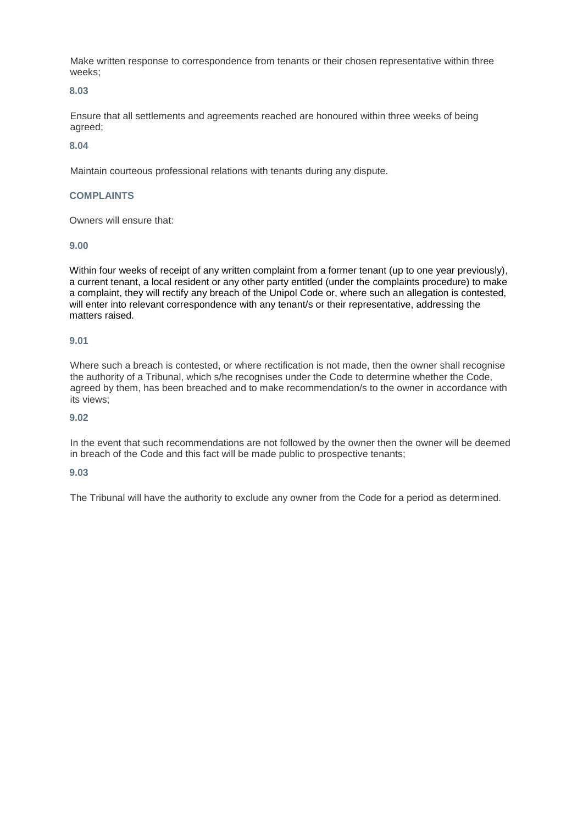Make written response to correspondence from tenants or their chosen representative within three weeks;

### **8.03**

Ensure that all settlements and agreements reached are honoured within three weeks of being agreed;

# **8.04**

Maintain courteous professional relations with tenants during any dispute.

### **COMPLAINTS**

Owners will ensure that:

### **9.00**

Within four weeks of receipt of any written complaint from a former tenant (up to one year previously), a current tenant, a local resident or any other party entitled (under the complaints procedure) to make a complaint, they will rectify any breach of the Unipol Code or, where such an allegation is contested, will enter into relevant correspondence with any tenant/s or their representative, addressing the matters raised.

# **9.01**

Where such a breach is contested, or where rectification is not made, then the owner shall recognise the authority of a Tribunal, which s/he recognises under the Code to determine whether the Code, agreed by them, has been breached and to make recommendation/s to the owner in accordance with its views;

# **9.02**

In the event that such recommendations are not followed by the owner then the owner will be deemed in breach of the Code and this fact will be made public to prospective tenants;

# **9.03**

The Tribunal will have the authority to exclude any owner from the Code for a period as determined.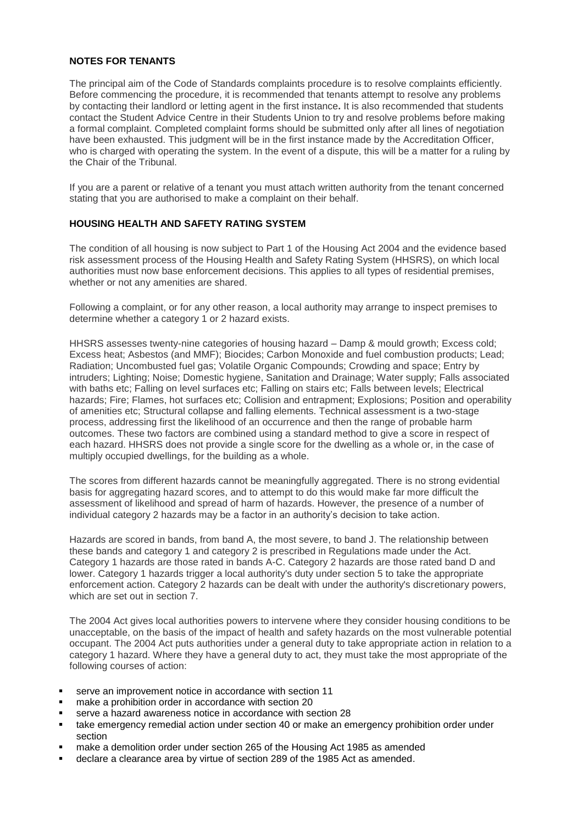### **NOTES FOR TENANTS**

The principal aim of the Code of Standards complaints procedure is to resolve complaints efficiently. Before commencing the procedure, it is recommended that tenants attempt to resolve any problems by contacting their landlord or letting agent in the first instance**.** It is also recommended that students contact the Student Advice Centre in their Students Union to try and resolve problems before making a formal complaint. Completed complaint forms should be submitted only after all lines of negotiation have been exhausted. This judgment will be in the first instance made by the Accreditation Officer, who is charged with operating the system. In the event of a dispute, this will be a matter for a ruling by the Chair of the Tribunal.

If you are a parent or relative of a tenant you must attach written authority from the tenant concerned stating that you are authorised to make a complaint on their behalf.

### **HOUSING HEALTH AND SAFETY RATING SYSTEM**

The condition of all housing is now subject to Part 1 of the Housing Act 2004 and the evidence based risk assessment process of the Housing Health and Safety Rating System (HHSRS), on which local authorities must now base enforcement decisions. This applies to all types of residential premises, whether or not any amenities are shared.

Following a complaint, or for any other reason, a local authority may arrange to inspect premises to determine whether a category 1 or 2 hazard exists.

HHSRS assesses twenty-nine categories of housing hazard – Damp & mould growth; Excess cold; Excess heat; Asbestos (and MMF); Biocides; Carbon Monoxide and fuel combustion products; Lead; Radiation; Uncombusted fuel gas; Volatile Organic Compounds; Crowding and space; Entry by intruders; Lighting; Noise; Domestic hygiene, Sanitation and Drainage; Water supply; Falls associated with baths etc; Falling on level surfaces etc; Falling on stairs etc; Falls between levels; Electrical hazards; Fire; Flames, hot surfaces etc; Collision and entrapment; Explosions; Position and operability of amenities etc; Structural collapse and falling elements. Technical assessment is a two-stage process, addressing first the likelihood of an occurrence and then the range of probable harm outcomes. These two factors are combined using a standard method to give a score in respect of each hazard. HHSRS does not provide a single score for the dwelling as a whole or, in the case of multiply occupied dwellings, for the building as a whole.

The scores from different hazards cannot be meaningfully aggregated. There is no strong evidential basis for aggregating hazard scores, and to attempt to do this would make far more difficult the assessment of likelihood and spread of harm of hazards. However, the presence of a number of individual category 2 hazards may be a factor in an authority's decision to take action.

Hazards are scored in bands, from band A, the most severe, to band J. The relationship between these bands and category 1 and category 2 is prescribed in Regulations made under the Act. Category 1 hazards are those rated in bands A-C. Category 2 hazards are those rated band D and lower. Category 1 hazards trigger a local authority's duty under section 5 to take the appropriate enforcement action. Category 2 hazards can be dealt with under the authority's discretionary powers, which are set out in section 7.

The 2004 Act gives local authorities powers to intervene where they consider housing conditions to be unacceptable, on the basis of the impact of health and safety hazards on the most vulnerable potential occupant. The 2004 Act puts authorities under a general duty to take appropriate action in relation to a category 1 hazard. Where they have a general duty to act, they must take the most appropriate of the following courses of action:

- serve an improvement notice in accordance with section 11
- make a prohibition order in accordance with section 20
- serve a hazard awareness notice in accordance with section 28
- take emergency remedial action under section 40 or make an emergency prohibition order under section
- make a demolition order under section 265 of the Housing Act 1985 as amended
- declare a clearance area by virtue of section 289 of the 1985 Act as amended.